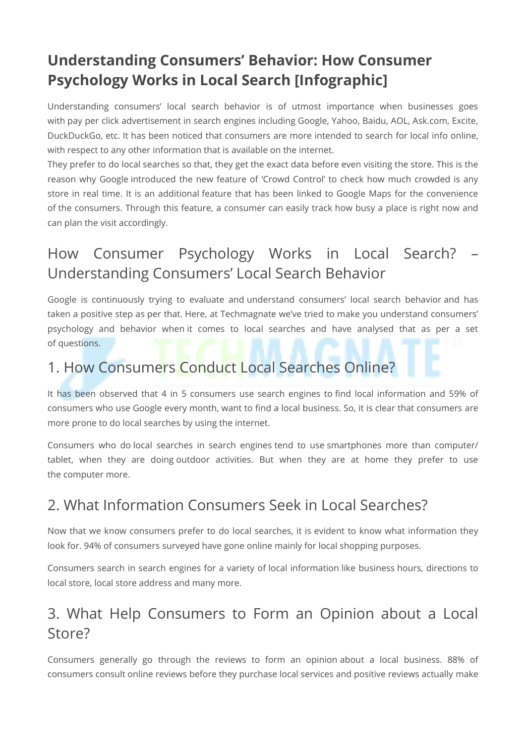# **Understanding Consumers' Behavior: How Consumer Psychology Works in Local Search [Infographic]**

Understanding consumers' local search behavior is of utmost importance when businesses goes with pay per click advertisement in search engines including Google, Yahoo, Baidu, AOL, Ask.com, Excite, DuckDuckGo, etc. It has been noticed that consumers are more intended to search for local info online, with respect to any other information that is available on the internet.

They prefer to do local searches so that, they get the exact data before even visiting the store. This is the reason why Google introduced the new feature of 'Crowd Control' to check how much crowded is any store in real time. It is an additional feature that has been linked to Google Maps for the convenience of the consumers. Through this feature, a consumer can easily track how busy a place is right now and can plan the visit accordingly.

# How Consumer Psychology Works in Local Search? – Understanding Consumers' Local Search Behavior

Google is continuously trying to evaluate and understand consumers' local search behavior and has taken a positive step as per that. Here, at Techmagnate we've tried to make you understand consumers' psychology and behavior when it comes to local searches and have analysed that as per a set of questions.

#### 1. How Consumers Conduct Local Searches Online?

It has been observed that 4 in 5 consumers use search engines to find local information and 59% of consumers who use Google every month, want to find a local business. So, it is clear that consumers are more prone to do local searches by using the internet.

Consumers who do local searches in search engines tend to use smartphones more than computer/ tablet, when they are doing outdoor activities. But when they are at home they prefer to use the computer more.

#### 2. What Information Consumers Seek in Local Searches?

Now that we know consumers prefer to do local searches, it is evident to know what information they look for. 94% of consumers surveyed have gone online mainly for local shopping purposes.

Consumers search in search engines for a variety of local information like business hours, directions to local store, local store address and many more.

### 3. What Help Consumers to Form an Opinion about a Local Store?

Consumers generally go through the reviews to form an opinion about a local business. 88% of consumers consult online reviews before they purchase local services and positive reviews actually make